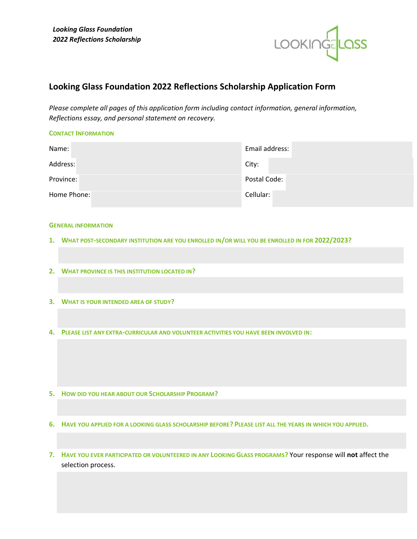

# **Looking Glass Foundation 2022 Reflections Scholarship Application Form**

*Please complete all pages of this application form including contact information, general information, Reflections essay, and personal statement on recovery.* 

| <b>CONTACT INFORMATION</b> |                |
|----------------------------|----------------|
| Name:                      | Email address: |
| Address:                   | City:          |
| Province:                  | Postal Code:   |
| Home Phone:                | Cellular:      |

#### **GENERAL INFORMATION**

- **1. WHAT POST-SECONDARY INSTITUTION ARE YOU ENROLLED IN/OR WILL YOU BE ENROLLED IN FOR 2022/2023?**
- **2. WHAT PROVINCE IS THIS INSTITUTION LOCATED IN?**
- **3. WHAT IS YOUR INTENDED AREA OF STUDY?**
- **4. PLEASE LIST ANY EXTRA-CURRICULAR AND VOLUNTEER ACTIVITIES YOU HAVE BEEN INVOLVED IN:**
- **5. HOW DID YOU HEAR ABOUT OUR SCHOLARSHIP PROGRAM?**
- **6. HAVE YOU APPLIED FOR A LOOKING GLASS SCHOLARSHIP BEFORE? PLEASE LIST ALL THE YEARS IN WHICH YOU APPLIED.**
- **7. HAVE YOU EVER PARTICIPATED OR VOLUNTEERED IN ANY LOOKING GLASS PROGRAMS?** Your response will **not** affect the selection process.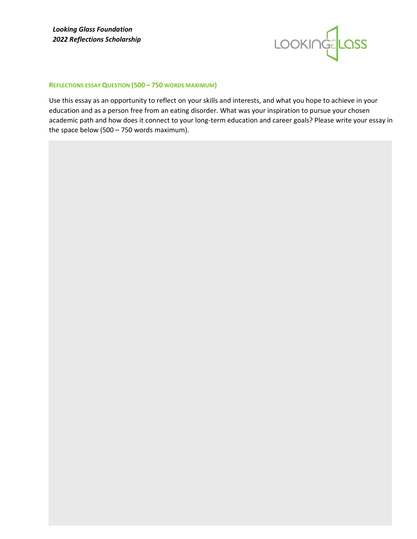

## **REFLECTIONS ESSAY QUESTION (500 – 750 WORDS MAXIMUM)**

Use this essay as an opportunity to reflect on your skills and interests, and what you hope to achieve in your education and as a person free from an eating disorder. What was your inspiration to pursue your chosen academic path and how does it connect to your long-term education and career goals? Please write your essay in the space below (500 – 750 words maximum).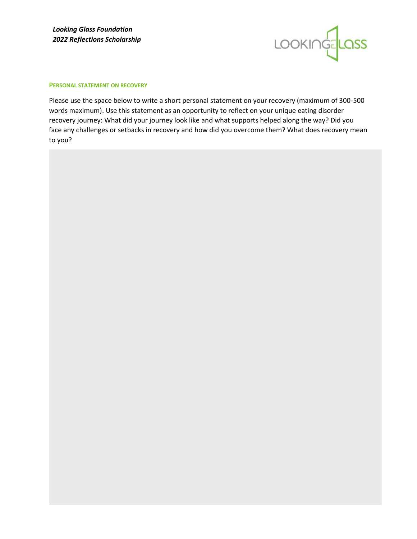

#### **PERSONAL STATEMENT ON RECOVERY**

Please use the space below to write a short personal statement on your recovery (maximum of 300-500 words maximum). Use this statement as an opportunity to reflect on your unique eating disorder recovery journey: What did your journey look like and what supports helped along the way? Did you face any challenges or setbacks in recovery and how did you overcome them? What does recovery mean to you?